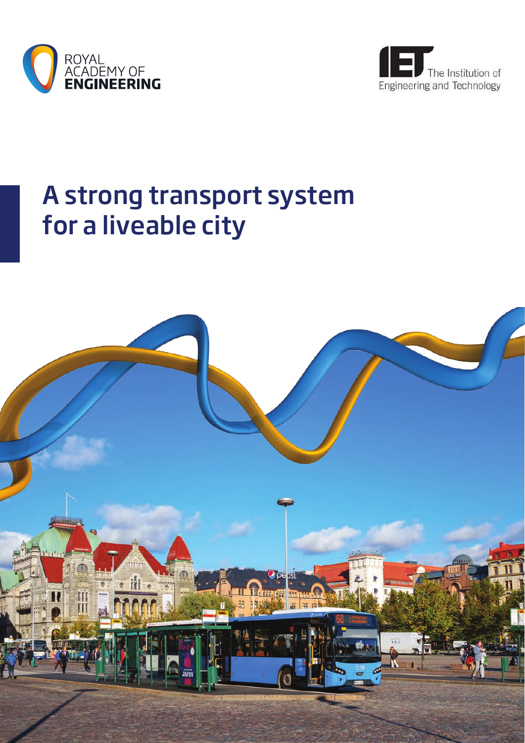



# A strong transport system for a liveable city